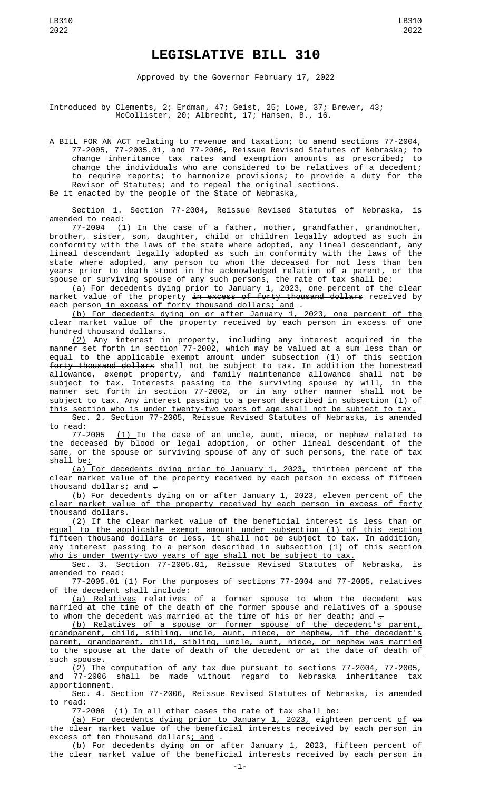## **LEGISLATIVE BILL 310**

Approved by the Governor February 17, 2022

Introduced by Clements, 2; Erdman, 47; Geist, 25; Lowe, 37; Brewer, 43; McCollister, 20; Albrecht, 17; Hansen, B., 16.

A BILL FOR AN ACT relating to revenue and taxation; to amend sections 77-2004, 77-2005, 77-2005.01, and 77-2006, Reissue Revised Statutes of Nebraska; to change inheritance tax rates and exemption amounts as prescribed; to change the individuals who are considered to be relatives of a decedent; to require reports; to harmonize provisions; to provide a duty for the Revisor of Statutes; and to repeal the original sections. Be it enacted by the people of the State of Nebraska,

Section 1. Section 77-2004, Reissue Revised Statutes of Nebraska, is

amended to read: 77-2004 (1) In the case of a father, mother, grandfather, grandmother, brother, sister, son, daughter, child or children legally adopted as such in conformity with the laws of the state where adopted, any lineal descendant, any lineal descendant legally adopted as such in conformity with the laws of the state where adopted, any person to whom the deceased for not less than ten years prior to death stood in the acknowledged relation of a parent, or the spouse or surviving spouse of any such persons, the rate of tax shall be<u>:</u>

(a) For decedents dying prior to January 1, 2023, one percent of the clear market value of the property in excess of forty thousand dollars received by each person in excess of forty thousand dollars; and -

(b) For decedents dying on or after January 1, 2023, one percent of the clear market value of the property received by each person in excess of one hundred thousand dollars.

(2) Any interest in property, including any interest acquired in the manner set forth in section 77-2002, which may be valued at a sum less than <u>or</u> equal to the applicable exempt amount under subsection (1) of this section forty thousand dollars shall not be subject to tax. In addition the homestead allowance, exempt property, and family maintenance allowance shall not be subject to tax. Interests passing to the surviving spouse by will, in the manner set forth in section 77-2002, or in any other manner shall not be subject to tax. Any interest passing to a person described in subsection (1) of this section who is under twenty-two years of age shall not be subject to tax.

Sec. 2. Section 77-2005, Reissue Revised Statutes of Nebraska, is amended to read:

77-2005 <u>(1) </u>In the case of an uncle, aunt, niece, or nephew related to the deceased by blood or legal adoption, or other lineal descendant of the same, or the spouse or surviving spouse of any of such persons, the rate of tax shall be:

(a) For decedents dying prior to January 1, 2023, thirteen percent of the clear market value of the property received by each person in excess of fifteen thousand dollars; and  $-$ 

(b) For decedents dying on or after January 1, 2023, eleven percent of the clear market value of the property received by each person in excess of forty thousand dollars.

(2) If the clear market value of the beneficial interest is less than or equal to the applicable exempt amount under subsection (1) of this section fifteen thousand dollars or less, it shall not be subject to tax. In addition, any interest passing to a person described in subsection (1) of this section who is under twenty-two years of age shall not be subject to tax.

Sec. 3. Section 77-2005.01, Reissue Revised Statutes of Nebraska, is amended to read:

77-2005.01 (1) For the purposes of sections 77-2004 and 77-2005, relatives of the decedent shall include<u>:</u>

(a) Relatives relatives of a former spouse to whom the decedent was married at the time of the death of the former spouse and relatives of a spouse to whom the decedent was married at the time of his or her death<u>; and</u>  $\hbox{\large -}$ 

(b) Relatives of a spouse or former spouse of the decedent's parent, grandparent, child, sibling, uncle, aunt, niece, or nephew, if the decedent's parent, grandparent, child, sibling, uncle, aunt, niece, or nephew was married to the spouse at the date of death of the decedent or at the date of death of such spouse.

(2) The computation of any tax due pursuant to sections 77-2004, 77-2005, and 77-2006 shall be made without regard to Nebraska inheritance tax apportionment.

Sec. 4. Section 77-2006, Reissue Revised Statutes of Nebraska, is amended to read:

77-2006  $(1)$  In all other cases the rate of tax shall be $\pm$ 

(a) For decedents dying prior to January 1, 2023, eighteen percent of on the clear market value of the beneficial interests <u>received by each person </u>in excess of ten thousand dollars<u>; and</u>  $\hbox{-}$ 

(b) For decedents dying on or after January 1, 2023, fifteen percent of the clear market value of the beneficial interests received by each person in